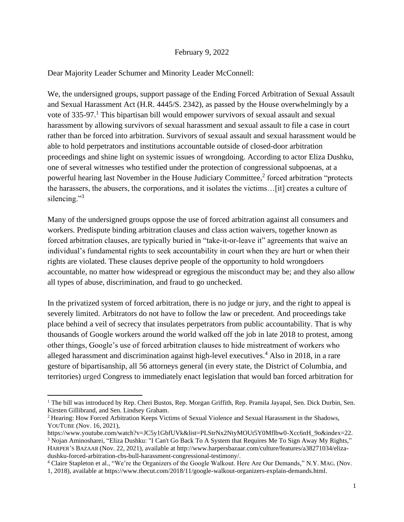## February 9, 2022

Dear Majority Leader Schumer and Minority Leader McConnell:

We, the undersigned groups, support passage of the Ending Forced Arbitration of Sexual Assault and Sexual Harassment Act (H.R. 4445/S. 2342), as passed by the House overwhelmingly by a vote of 335-97. <sup>1</sup> This bipartisan bill would empower survivors of sexual assault and sexual harassment by allowing survivors of sexual harassment and sexual assault to file a case in court rather than be forced into arbitration. Survivors of sexual assault and sexual harassment would be able to hold perpetrators and institutions accountable outside of closed-door arbitration proceedings and shine light on systemic issues of wrongdoing. According to actor Eliza Dushku, one of several witnesses who testified under the protection of congressional subpoenas, at a powerful hearing last November in the House Judiciary Committee, 2 forced arbitration "protects the harassers, the abusers, the corporations, and it isolates the victims…[it] creates a culture of silencing."<sup>3</sup>

Many of the undersigned groups oppose the use of forced arbitration against all consumers and workers. Predispute binding arbitration clauses and class action waivers, together known as forced arbitration clauses, are typically buried in "take-it-or-leave it" agreements that waive an individual's fundamental rights to seek accountability in court when they are hurt or when their rights are violated. These clauses deprive people of the opportunity to hold wrongdoers accountable, no matter how widespread or egregious the misconduct may be; and they also allow all types of abuse, discrimination, and fraud to go unchecked.

In the privatized system of forced arbitration, there is no judge or jury, and the right to appeal is severely limited. Arbitrators do not have to follow the law or precedent. And proceedings take place behind a veil of secrecy that insulates perpetrators from public accountability. That is why thousands of Google workers around the world walked off the job in late 2018 to protest, among other things, Google's use of forced arbitration clauses to hide mistreatment of workers who alleged harassment and discrimination against high-level executives.<sup>4</sup> Also in 2018, in a rare gesture of bipartisanship, all 56 attorneys general (in every state, the District of Columbia, and territories) urged Congress to immediately enact legislation that would ban forced arbitration for

<sup>&</sup>lt;sup>1</sup> The bill was introduced by Rep. Cheri Bustos, Rep. Morgan Griffith, Rep. Pramila Jayapal, Sen. Dick Durbin, Sen. Kirsten Gillibrand, and Sen. Lindsey Graham.

<sup>2</sup> Hearing: How Forced Arbitration Keeps Victims of Sexual Violence and Sexual Harassment in the Shadows, YOUTUBE (Nov. 16, 2021),

[https://www.youtube.com/watch?v=JC5y1GbfUVk&list=PLStrNx2NtyMOUt5Y0Mflbw0-Xcc6nH\\_9o&index=22.](https://www.youtube.com/watch?v=JC5y1GbfUVk&list=PLStrNx2NtyMOUt5Y0Mflbw0-Xcc6nH_9o&index=22) <sup>3</sup> Nojan Aminosharei, "Eliza Dushku: "I Can't Go Back To A System that Requires Me To Sign Away My Rights," HARPER'S BAZAAR (Nov. 22, 2021), available at http://www.harpersbazaar.com/culture/features/a38271034/elizadushku-forced-arbitration-cbs-bull-harassment-congressional-testimony/.

<sup>4</sup> Claire Stapleton et al., "We're the Organizers of the Google Walkout. Here Are Our Demands," N.Y. MAG. (Nov. 1, 2018), available a[t https://www.thecut.com/2018/11/google-walkout-organizers-explain-demands.html.](https://www.thecut.com/2018/11/google-walkout-organizers-explain-demands.html)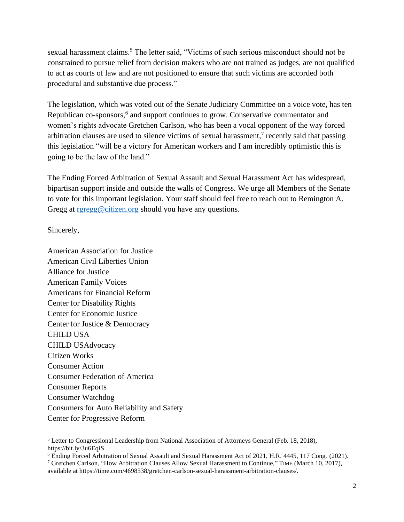sexual harassment claims.<sup>5</sup> The letter said, "Victims of such serious misconduct should not be constrained to pursue relief from decision makers who are not trained as judges, are not qualified to act as courts of law and are not positioned to ensure that such victims are accorded both procedural and substantive due process."

The legislation, which was voted out of the Senate Judiciary Committee on a voice vote, has ten Republican co-sponsors,<sup>6</sup> and support continues to grow. Conservative commentator and women's rights advocate Gretchen Carlson, who has been a vocal opponent of the way forced arbitration clauses are used to silence victims of sexual harassment,<sup>7</sup> recently said that passing this legislation "will be a victory for American workers and I am incredibly optimistic this is going to be the law of the land."

The Ending Forced Arbitration of Sexual Assault and Sexual Harassment Act has widespread, bipartisan support inside and outside the walls of Congress. We urge all Members of the Senate to vote for this important legislation. Your staff should feel free to reach out to Remington A. Gregg at [rgregg@citizen.org](mailto:rgregg@citizen.org) should you have any questions.

Sincerely,

American Association for Justice American Civil Liberties Union Alliance for Justice American Family Voices Americans for Financial Reform Center for Disability Rights Center for Economic Justice Center for Justice & Democracy CHILD USA CHILD USAdvocacy Citizen Works Consumer Action Consumer Federation of America Consumer Reports Consumer Watchdog Consumers for Auto Reliability and Safety Center for Progressive Reform

<sup>5</sup> Letter to Congressional Leadership from National Association of Attorneys General (Feb. 18, 2018), [https://bit.ly/3u6EqiS.](https://bit.ly/3u6EqiS)

<sup>6</sup> Ending Forced Arbitration of Sexual Assault and Sexual Harassment Act of 2021, H.R. 4445, 117 Cong. (2021).

<sup>7</sup> Gretchen Carlson, "How Arbitration Clauses Allow Sexual Harassment to Continue," TIME (March 10, 2017), available at [https://time.com/4698538/gretchen-carlson-sexual-harassment-arbitration-clauses/.](https://time.com/4698538/gretchen-carlson-sexual-harassment-arbitration-clauses/)